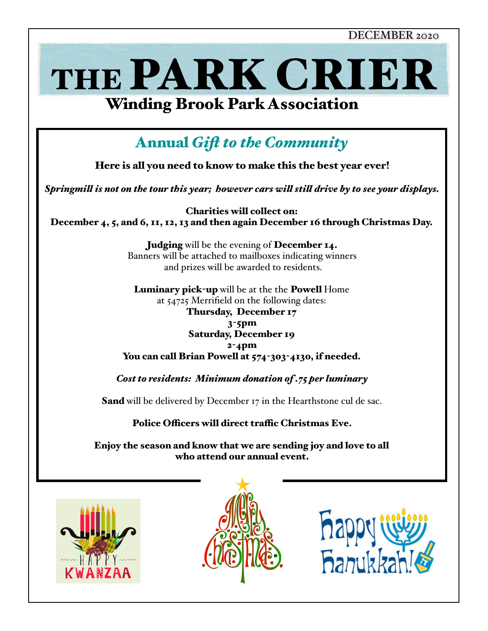DECEMBER 2020







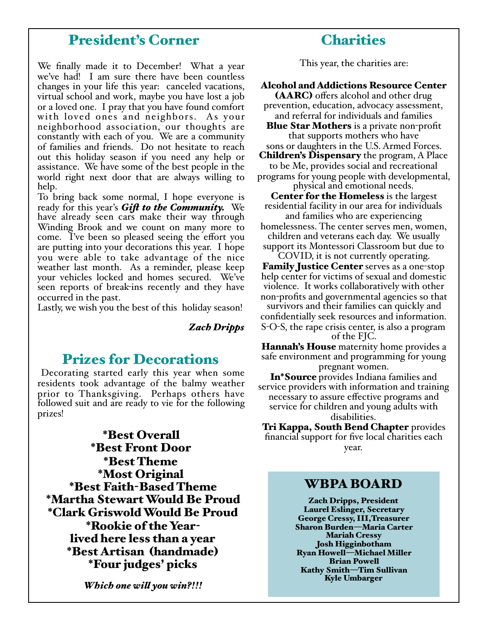## President's Corner

We finally made it to December! What a year we've had! I am sure there have been countless changes in your life this year: canceled vacations, virtual school and work, maybe you have lost a job or a loved one. I pray that you have found comfort with loved ones and neighbors. As your neighborhood association, our thoughts are constantly with each of you. We are a community of families and friends. Do not hesitate to reach out this holiday season if you need any help or assistance. We have some of the best people in the world right next door that are always willing to help.

To bring back some normal, I hope everyone is ready for this year's *Gif to the Community.* We have already seen cars make their way through Winding Brook and we count on many more to come. I've been so pleased seeing the effort you are putting into your decorations this year. I hope you were able to take advantage of the nice weather last month. As a reminder, please keep your vehicles locked and homes secured. We've seen reports of break-ins recently and they have occurred in the past.

Lastly, we wish you the best of this holiday season!

*Zach Dripps*

## Prizes for Decorations

 Decorating started early this year when some residents took advantage of the balmy weather prior to Thanksgiving. Perhaps others have followed suit and are ready to vie for the following prizes!

\*Best Overall \*Best Front Door \*Best Theme \*Most Original \*Best Faith-Based Theme \*Martha Stewart Would Be Proud \*Clark Griswold Would Be Proud \*Rookie of the Yearlived here less than a year \*Best Artisan (handmade) \*Four judges' picks

*Which one wil you win?!!!*

This year, the charities are:

#### Alcohol and Addictions Resource Center

(AARC) offers alcohol and other drug prevention, education, advocacy assessment, and referral for individuals and families

**Blue Star Mothers** is a private non-profit that supports mothers who have sons or daughters in the U.S. Armed Forces.

**Children's Dispensary** the program, A Place to be Me, provides social and recreational programs for young people with developmental,

physical and emotional needs.

Center for the Homeless is the largest residential facility in our area for individuals and families who are experiencing

homelessness. The center serves men, women, children and veterans each day. We usually support its Montessori Classroom but due to

COVID, it is not currently operating. Family Justice Center serves as a one-stop help center for victims of sexual and domestic violence. It works collaboratively with other non-profits and governmental agencies so that survivors and their families can quickly and confidentially seek resources and information. S-O-S, the rape crisis center, is also a program of the FJC.

Hannah's House maternity home provides a safe environment and programming for young

pregnant women. In\*Source provides Indiana families and service providers with information and training necessary to assure effective programs and service for children and young adults with disabilities.

Tri Kappa, South Bend Chapter provides financial support for five local charities each year.

#### WBPA BOARD

Zach Dripps, President Laurel Eslinger, Secretary George Cressy, III,Treasurer Sharon Burden—Maria Carter Mariah Cressy Josh Higginbotham Ryan Howell—Michael Miller Brian Powell Kathy Smith—Tim Sullivan Kyle Umbarger

## **Charities**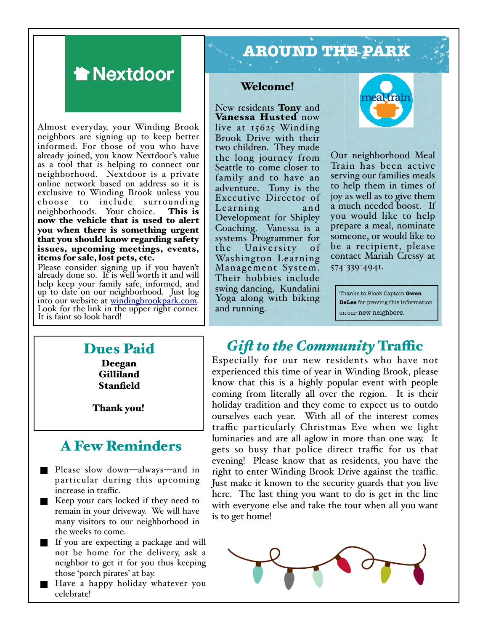

Almost everyday, your Winding Brook neighbors are signing up to keep better informed. For those of you who have already joined, you know Nextdoor's value as a tool that is helping to connect our neighborhood. Nextdoor is a private online network based on address so it is exclusive to Winding Brook unless you choose to include surrounding neighborhoods. Your choice. This is now the vehicle that is used to alert you when there is something urgent that you should know regarding safety issues, upcoming meetings, events, items for sale, lost pets, etc.

Please consider signing up if you haven't already done so. It is well worth it and will help keep your family safe, informed, and up to date on our neighborhood. Just log into our website at [windingbrookpark.com.](http://windingbrookpark.com) Look for the link i[n the upper right corner.](http://windingbrookpark.com) It is faint so look hard!

# **AROUND THE PARK**

#### Welcome!

New residents **Tony** and Vanessa Husted now live at 15625 Winding Brook Drive with their two children. They made the long journey from Seattle to come closer to family and to have an adventure. Tony is the Executive Director of Learning and Development for Shipley Coaching. Vanessa is a systems Programmer for<br>the University of the University Washington Learning Mana gement System. Their hobbies include swing dancing, Kundalini Yoga along with biking and running.



Our neighborhood Meal Train has been active serving our families meals to help them in times of joy as well as to give them a much needed boost. If you would like to help prepare a meal, nominate someone, or would like to be a recipient, please contact Mariah Cressy at 574-339-4941.

Thanks to Block Captain **Gwen DeLee** for proving this information on our new neighbors.

#### Dues Paid Deegan

Gilliland Stanfield

Thank you!

## A Few Reminders

- Please slow down—always—and in particular during this upcoming increase in traffic.
- Keep your cars locked if they need to remain in your driveway. We will have many visitors to our neighborhood in the weeks to come.
- If you are expecting a package and will not be home for the delivery, ask a neighbor to get it for you thus keeping those 'porch pirates' at bay.
- Have a happy holiday whatever you celebrate!

## *Gift to the Community* Traffic

Especially for our new residents who have not experienced this time of year in Winding Brook, please know that this is a highly popular event with people coming from literally all over the region. It is their holiday tradition and they come to expect us to outdo ourselves each year. With all of the interest comes traffic particularly Christmas Eve when we light luminaries and are all aglow in more than one way. It gets so busy that police direct traffic for us that evening! Please know that as residents, you have the right to enter Winding Brook Drive against the traffic. Just make it known to the security guards that you live here. The last thing you want to do is get in the line with everyone else and take the tour when all you want is to get home!